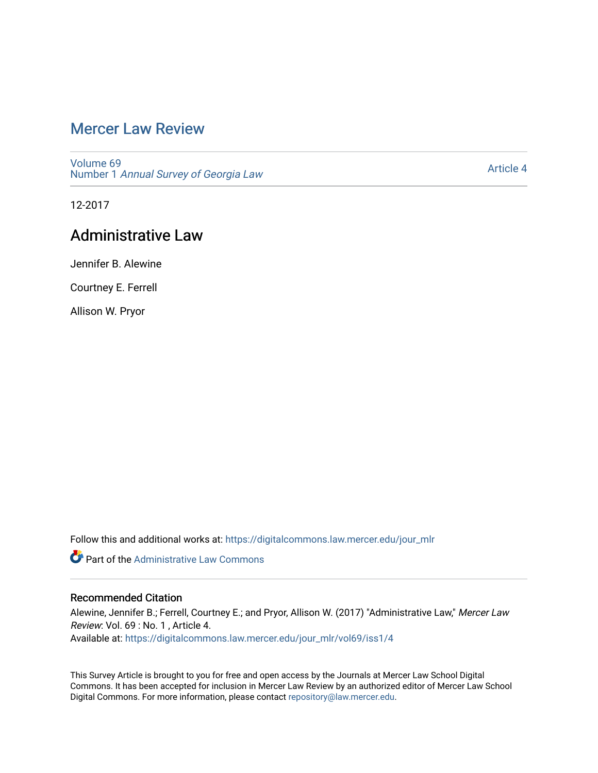# [Mercer Law Review](https://digitalcommons.law.mercer.edu/jour_mlr)

[Volume 69](https://digitalcommons.law.mercer.edu/jour_mlr/vol69) Number 1 [Annual Survey of Georgia Law](https://digitalcommons.law.mercer.edu/jour_mlr/vol69/iss1) 

[Article 4](https://digitalcommons.law.mercer.edu/jour_mlr/vol69/iss1/4) 

12-2017

## Administrative Law

Jennifer B. Alewine

Courtney E. Ferrell

Allison W. Pryor

Follow this and additional works at: [https://digitalcommons.law.mercer.edu/jour\\_mlr](https://digitalcommons.law.mercer.edu/jour_mlr?utm_source=digitalcommons.law.mercer.edu%2Fjour_mlr%2Fvol69%2Fiss1%2F4&utm_medium=PDF&utm_campaign=PDFCoverPages)

**Part of the Administrative Law Commons** 

### Recommended Citation

Alewine, Jennifer B.; Ferrell, Courtney E.; and Pryor, Allison W. (2017) "Administrative Law," Mercer Law Review: Vol. 69 : No. 1 , Article 4. Available at: [https://digitalcommons.law.mercer.edu/jour\\_mlr/vol69/iss1/4](https://digitalcommons.law.mercer.edu/jour_mlr/vol69/iss1/4?utm_source=digitalcommons.law.mercer.edu%2Fjour_mlr%2Fvol69%2Fiss1%2F4&utm_medium=PDF&utm_campaign=PDFCoverPages)

This Survey Article is brought to you for free and open access by the Journals at Mercer Law School Digital Commons. It has been accepted for inclusion in Mercer Law Review by an authorized editor of Mercer Law School Digital Commons. For more information, please contact [repository@law.mercer.edu](mailto:repository@law.mercer.edu).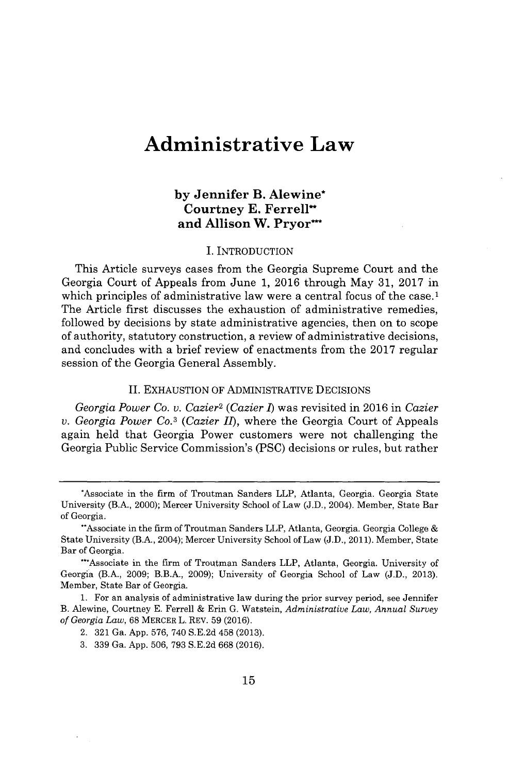# **Administrative Law**

## **by Jennifer B. Alewine\* Courtney E. Ferrelland Allison W. Pryor\***

#### **I.** INTRODUCTION

This Article surveys cases from the Georgia Supreme Court and the Georgia Court of Appeals from June **1, 2016** through May **31, 2017** in which principles of administrative law were a central focus of the case.<sup>1</sup> The Article first discusses the exhaustion of administrative remedies, followed **by** decisions **by** state administrative agencies, then on to scope of authority, statutory construction, a review of administrative decisions, and concludes with a brief review of enactments from the **2017** regular session of the Georgia General Assembly.

#### **II.** EXHAUSTION OF ADMINISTRATIVE DECISIONS

*Georgia Power Co. v. Cazier<sup>2</sup>(Cazier 1)* was revisited in **2016** in *Cazier v. Georgia Power Co.<sup>3</sup>(Cazier ll),* where the Georgia Court of Appeals again held that Georgia Power customers were not challenging the Georgia Public Service Commission's **(PSC)** decisions or rules, but rather

<sup>\*</sup>Associate in the firm of Troutman Sanders LLP, Atlanta, Georgia. Georgia State University (B.A., 2000); Mercer University School of Law **(J.D.,** 2004). Member, State Bar of Georgia.

<sup>\*\*</sup> Associate in the firm of Troutman Sanders LLP, Atlanta, Georgia. Georgia College & State University (B.A., 2004); Mercer University School of Law **(J.D., 2011).** Member, State Bar of Georgia.

<sup>-\*</sup>Associate in the firm of Troutman Sanders LLP, Atlanta, Georgia. University of Georgia (B.A., **2009;** B.B.A., **2009);** University of Georgia School of Law **(J.D., 2013).** Member, State Bar of Georgia.

**<sup>1.</sup>** For an analysis of administrative law during the prior survey period, see Jennifer B. Alewine, Courtney **E.** Ferrell **&** Erin **G.** Watstein, *Administrative Law, Annual Survey of Georgia Law,* **68** MERCER L. REV. **59 (2016).**

<sup>2.</sup> **321** Ga. **App. 576,** 740 **S.E.2d** 458 **(2013).**

**<sup>3. 339</sup>** Ga. **App. 506, 793 S.E.2d 668 (2016).**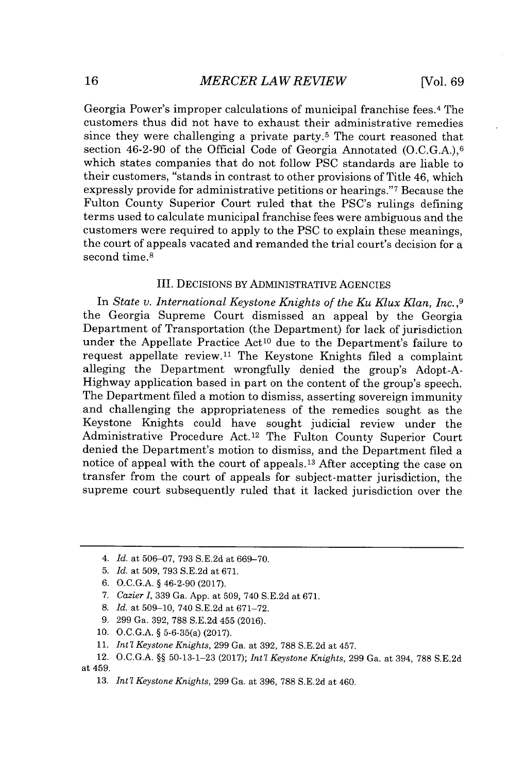Georgia Power's improper calculations of municipal franchise fees.<sup>4</sup>The customers thus did not have to exhaust their administrative remedies since they were challenging a private party.<sup>5</sup> The court reasoned that section 46-2-90 of the Official Code of Georgia Annotated  $(0.C.G.A.)$ <sup>6</sup> which states companies that do not follow **PSC** standards are liable to their customers, "stands in contrast to other provisions of Title 46, which expressly provide for administrative petitions or hearings."7 Because the Fulton County Superior Court ruled that the PSC's rulings defining terms used to calculate municipal franchise fees were ambiguous and the customers were required to apply to the **PSC** to explain these meanings, the court of appeals vacated and remanded the trial court's decision for a second time.<sup>8</sup>

#### III. DECISIONS BY ADMINISTRATIVE **AGENCIES**

In *State v. International Keystone Knights of the Ku Klux Klan, Inc.,9* the Georgia Supreme Court dismissed an appeal **by** the Georgia Department of Transportation (the Department) for lack of jurisdiction under the Appellate Practice Act<sup>10</sup> due to the Department's failure to request appellate review.<sup>11</sup> The Keystone Knights filed a complaint alleging the Department wrongfully denied the group's Adopt-A-Highway application based in part on the content of the group's speech. The Department filed a motion to dismiss, asserting sovereign immunity and challenging the appropriateness of the remedies sought as the Keystone Knights could have sought judicial review under the Administrative Procedure Act.<sup>12</sup> The Fulton County Superior Court denied the Department's motion to dismiss, and the Department filed a notice of appeal with the court of appeals.<sup>13</sup> After accepting the case on transfer from the court of appeals for subject-matter jurisdiction, the supreme court subsequently ruled that it lacked jurisdiction over the

- **9. 299** Ga. **392, 788 S.E.2d** 455 **(2016).**
- **10. O.C.G.A.** *§* 5-6-35(a) **(2017).**
- **11.** *Int'l Keystone Knights,* **299** Ga. at **392, 788 S.E.2d** at 457.

**13.** *Int'l Keystone Knights,* **299** Ga. at **396, 788 S.E.2d** at 460.

*<sup>4.</sup> Id. at* **506-07, 793 S.E.2d** *at* **669-70.**

**<sup>5.</sup>** *Id. at* **509, 793 S.E.2d** *at* **671.**

**<sup>6.</sup> O.C.G.A.** *§* 46-2-90 **(2017).**

**<sup>7.</sup>** *Cazier I,* **339** Ga. **App.** at **509,** 740 **S.E.2d** at **671.**

**<sup>8.</sup>** *Id. at* **509-10,** 740 **S.E.2d** at **671-72.**

<sup>12.</sup> **O.C.G.A.** *§§* **50-13-1-23 (2017);** *Int'l Keystone Knights,* **299** Ga. at 394, **788 S.E.2d** at 459.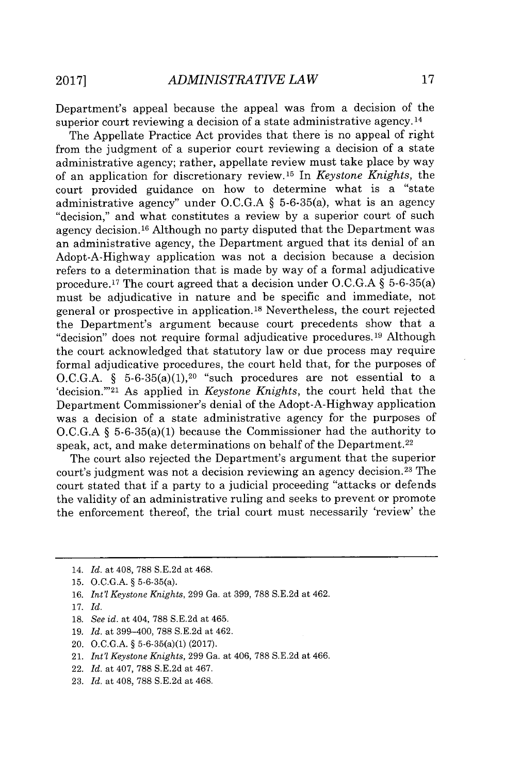Department's appeal because the appeal was from a decision of the superior court reviewing a decision of a state administrative agency. **<sup>14</sup>**

The Appellate Practice Act provides that there is no appeal of right from the judgment of a superior court reviewing a decision of a state administrative agency; rather, appellate review must take place **by** way of an application for discretionary review.<sup>15</sup>In *Keystone Knights,* the court provided guidance on how to determine what is a "state administrative agency" under **O.C.G.A** *§* 5-6-35(a), what is an agency "decision," and what constitutes a review **by** a superior court of such agency decision.16 Although no party disputed that the Department was an administrative agency, the Department argued that its denial of an Adopt-A-Highway application was not a decision because a decision refers to a determination that is made **by** way of a formal adjudicative procedure.<sup>17</sup>The court agreed that a decision under **O.C.G.A** *§* 5-6-35(a) must be adjudicative in nature and be specific and immediate, not general or prospective in application.<sup>18</sup> Nevertheless, the court rejected the Department's argument because court precedents show that a "decision" does not require formal adjudicative procedures.<sup>19</sup> Although the court acknowledged that statutory law or due process may require formal adjudicative procedures, the court held that, for the purposes of O.C.G.A.  $\S$  5-6-35(a)(1), <sup>20</sup> "such procedures are not essential to a 'decision."<sup>21</sup> As applied in *Keystone Knights*, the court held that the Department Commissioner's denial of the Adopt-A-Highway application was a decision of a state administrative agency for the purposes of **O.C.G.A** *§* 5-6-35(a)(1) because the Commissioner had the authority to speak, act, and make determinations on behalf of the Department.<sup>22</sup>

The court also rejected the Department's argument that the superior court's judgment was not a decision reviewing an agency decision. 23 The court stated that if a party to a judicial proceeding "attacks or defends the validity of an administrative ruling and seeks to prevent or promote the enforcement thereof, the trial court must necessarily 'review' the

- **18.** *See id. at* 404, **788 S.E.2d** at 465.
- **19.** *Id. at* 399-400, **788 S.E.2d** at 462.
- 20. **O.C.G.A. §** 5-6-35(a)(1) **(2017).**
- 21. *Int'l Keystone Knights,* **299** Ga. at 406, **788 S.E.2d** at 466.
- 22. *Id. at* 407, **788 S.E.2d** at 467.
- **23.** *Id. at* 408, **788 S.E.2d** at 468.

<sup>14.</sup> *Id. at* 408, **788 S.E.2d** *at* 468.

**<sup>15.</sup> O.C.G.A. §** 5-6-35(a).

**<sup>16.</sup>** *Int'l Keystone Knights,* **299** Ga. at **399, 788 S.E.2d** at 462.

**<sup>17.</sup>** *Id.*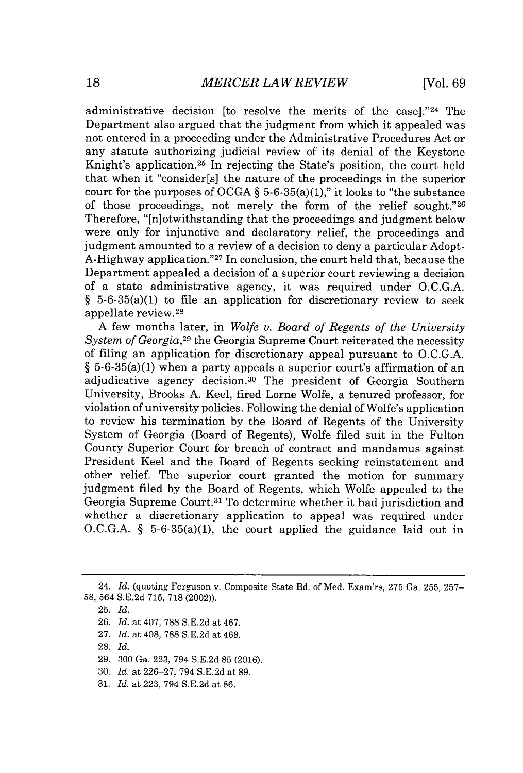administrative decision [to resolve the merits of the case]."<sup>24</sup> The Department also argued that the judgment from which it appealed was not entered in a proceeding under the Administrative Procedures Act or any statute authorizing judicial review of its denial of the Keystone Knight's application.<sup>25</sup> In rejecting the State's position, the court held that when it "consider[s] the nature of the proceedings in the superior court for the purposes of **OCGA §** 5-6-35(a)(1)," it looks to "the substance of those proceedings, not merely the form of the relief sought."26 Therefore, "[n]otwithstanding that the proceedings and judgment below were only for injunctive and declaratory relief, the proceedings and judgment amounted to a review of a decision to deny a particular Adopt-A-Highway application."<sup>27</sup> In conclusion, the court held that, because the Department appealed a decision of a superior court reviewing a decision of a state administrative agency, it was required under **O.C.G.A. §** 5-6-35(a)(1) to file an application for discretionary review to seek appellate review. <sup>28</sup>

**A** few months later, in *Wolfe v. Board of Regents of the University System of Georgia,<sup>29</sup>*the Georgia Supreme Court reiterated the necessity of filing an application for discretionary appeal pursuant to **O.C.G.A. §** 5-6-35(a)(1) when a party appeals a superior court's affirmation of an adjudicative agency decision.<sup>30</sup> The president of Georgia Southern University, Brooks **A.** Keel, fired Lorne Wolfe, a tenured professor, for violation of university policies. Following the denial of Wolfe's application to review his termination **by** the Board of Regents of the University System of Georgia (Board of Regents), Wolfe filed suit in the Fulton County Superior Court for breach of contract and mandamus against President Keel and the Board of Regents seeking reinstatement and other relief. The superior court granted the motion for summary judgment filed **by** the Board of Regents, which Wolfe appealed to the Georgia Supreme Court.<sup>31</sup> To determine whether it had jurisdiction and whether a discretionary application to appeal was required under **O.C.G.A. §** 5-6-35(a)(1), the court applied the guidance laid out in

- **27.** *Id.* at 408, **788 S.E.2d** at 468.
- **28.** *Id.*
- **29. 300** Ga. **223,** 794 **S.E.2d 85 (2016).**
- **30.** *Id.* at **226-27,** 794 **S.E.2d** at **89.**
- **31.** *Id.* at **223,** 794 **S.E.2d** at **86.**

<sup>24.</sup> *Id.* (quoting Ferguson v. Composite State Bd. of Med. Exam'rs, **275** Ga. **255, 257- 58,** 564 **S.E.2d 715, 718** (2002)).

**<sup>25.</sup>** *Id.*

**<sup>26.</sup>** *Id.* at 407, **788 S.E.2d** at 467.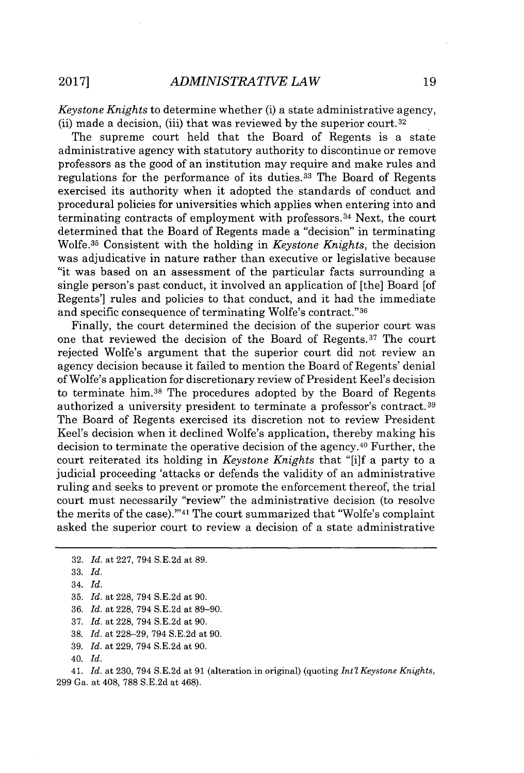*Keystone Knights* to determine whether (i) a state administrative agency, (ii) made a decision, (iii) that was reviewed **by** the superior court. <sup>32</sup>

The supreme court held that the Board of Regents is a state administrative agency with statutory authority to discontinue or remove professors as the good of an institution may require and make rules and regulations for the performance of its duties.<sup>33</sup> The Board of Regents exercised its authority when it adopted the standards of conduct and procedural policies for universities which applies when entering into and terminating contracts of employment with professors. <sup>3</sup> 4 Next, the court determined that the Board of Regents made a "decision" in terminating Wolfe.<sup>35</sup> Consistent with the holding in *Keystone Knights*, the decision was adjudicative in nature rather than executive or legislative because "it was based on an assessment of the particular facts surrounding a single person's past conduct, it involved an application of [the] Board [of Regents'] rules and policies to that conduct, and it had the immediate and specific consequence of terminating Wolfe's contract."36

Finally, the court determined the decision of the superior court was one that reviewed the decision of the Board of Regents.<sup>37</sup> The court rejected Wolfe's argument that the superior court did not review an agency decision because it failed to mention the Board of Regents' denial of Wolfe's application for discretionary review of President Keel's decision to terminate him.<sup>38</sup>The procedures adopted **by** the Board of Regents authorized a university president to terminate a professor's contract. <sup>39</sup> The Board of Regents exercised its discretion not to review President Keel's decision when it declined Wolfe's application, thereby making his decision to terminate the operative decision of the agency.<sup>40</sup> Further, the court reiterated its holding in *Keystone Knights* that "[i]f a party to a judicial proceeding 'attacks or defends the validity of an administrative ruling and seeks to prevent or promote the enforcement thereof, the trial court must necessarily "review" the administrative decision (to resolve the merits of the case)."<sup>41</sup> The court summarized that "Wolfe's complaint" asked the superior court to review a decision of a state administrative

**35.** *Id. at* **228,** 794 **S.E.2d** at **90.**

**37.** *Id. at* **228,** 794 **S.E.2d** *at* **90.**

**38.** *Id. at* **228-29,** 794 **S.E.2d** at **90.**

**39.** *Id. at* **229,** 794 **S.E.2d** at **90.**

41. *Id. at* **230,** 794 **S.E.2d** at **91** (alteration in original) (quoting *Int'l Keystone Knights,* **299** Ga. at 408, **788 S.E.2d** at 468).

**<sup>32.</sup>** *Id. at* **227,** 794 **S.E.2d** at **89.**

**<sup>33.</sup>** *Id.*

<sup>34.</sup> *Id.*

**<sup>36.</sup>** *Id. at* **228,** 794 **S.E.2d** at **89-90.**

<sup>40.</sup> *Id.*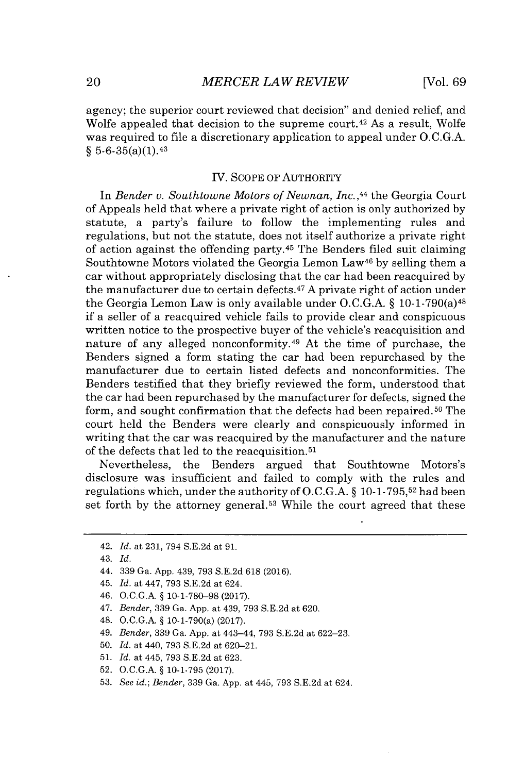agency; the superior court reviewed that decision" and denied relief, and Wolfe appealed that decision to the supreme court.<sup>42</sup> As a result, Wolfe was required to file a discretionary application to appeal under **O.C.G.A.** *§* 5-6-35(a)(1). <sup>43</sup>

#### IV. **SCOPE** OF AUTHORITY

In *Bender v. Southtowne Motors of Newnan, Inc.,4<sup>4</sup>*the Georgia Court of Appeals held that where a private right of action is only authorized **by** statute, a party's failure to follow the implementing rules and regulations, but not the statute, does not itself authorize a private right of action against the offending party.<sup>45</sup>The Benders filed suit claiming Southtowne Motors violated the Georgia Lemon Law<sup>46</sup> by selling them a car without appropriately disclosing that the car had been reacquired **by** the manufacturer due to certain defects. <sup>47</sup>**A** private right of action under the Georgia Lemon Law is only available under **O.C.G.A. §** 10-1-790(a) <sup>48</sup> if a seller of a reacquired vehicle fails to provide clear and conspicuous written notice to the prospective buyer of the vehicle's reacquisition and nature of any alleged nonconformity.<sup>49</sup> At the time of purchase, the Benders signed a form stating the car had been repurchased **by** the manufacturer due to certain listed defects and nonconformities. The Benders testified that they briefly reviewed the form, understood that the car had been repurchased **by** the manufacturer for defects, signed the form, and sought confirmation that the defects had been repaired. 5o The court held the Benders were clearly and conspicuously informed in writing that the car was reacquired **by** the manufacturer and the nature of the defects that led to the reacquisition. <sup>51</sup>

Nevertheless, the Benders argued that Southtowne Motors's disclosure was insufficient and failed to comply with the rules and regulations which, under the authority of **O.C.G.A. § 10-1-795,52** had been set forth by the attorney general.<sup>53</sup> While the court agreed that these

46. **O.C.G.A. § 10-1-780-98 (2017).**

- 48. **O.C.G.A. §** 10-1-790(a) **(2017).**
- *49. Bender,* **339** Ga. **App.** at 443-44, **793 S.E.2d** at **622-23.**
- **50.** *Id.* at 440, **793 S.E.2d** at **620-21.**
- **51.** *Id.* at 445, **793 S.E.2d** at **623.**
- **52. O.C.G.A. § 10-1-795 (2017).**
- **53.** *See id.; Bender,* **339** Ga. **App.** at 445, **793 S.E.2d** at 624.

<sup>42.</sup> *Id. at* **231,** 794 **S.E.2d** at **91.**

<sup>43.</sup> *Id.*

<sup>44.</sup> **339** Ga. **App.** 439, **793 S.E.2d 618 (2016).**

<sup>45.</sup> *Id. at 447,* **793 S.E.2d** at 624.

*<sup>47.</sup> Bender,* **339** Ga. **App.** at 439, **793 S.E.2d** at **620.**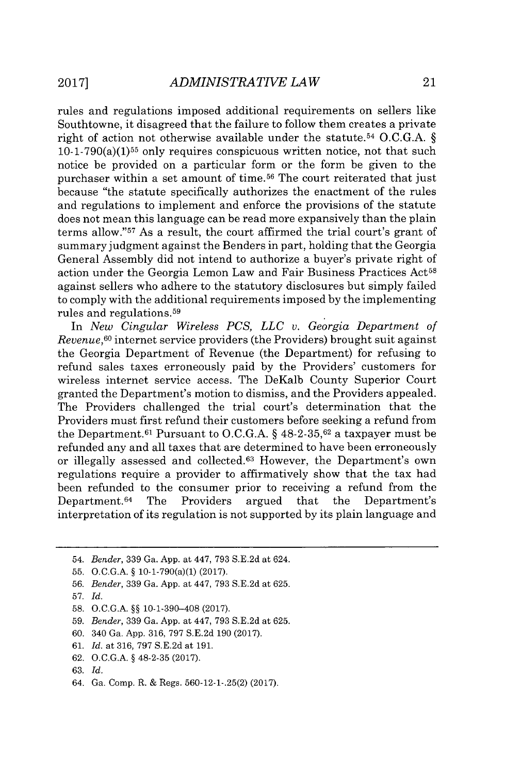rules and regulations imposed additional requirements on sellers like Southtowne, it disagreed that the failure to follow them creates a private right of action not otherwise available under the statute. <sup>54</sup>**O.C.G.A. §**  $10-1-790(a)(1)^{55}$  only requires conspicuous written notice, not that such notice be provided on a particular form or the form be given to the purchaser within a set amount of time.<sup>56</sup> The court reiterated that just because "the statute specifically authorizes the enactment of the rules and regulations to implement and enforce the provisions of the statute does not mean this language can be read more expansively than the plain terms allow."<sup>57</sup> As a result, the court affirmed the trial court's grant of summary judgment against the Benders in part, holding that the Georgia General Assembly did not intend to authorize a buyer's private right of action under the Georgia Lemon Law and Fair Business Practices Act<sup>58</sup> against sellers who adhere to the statutory disclosures but simply failed to comply with the additional requirements imposed **by** the implementing rules and regulations.<sup>59</sup>

In *New Cingular Wireless PCS, LLC v. Georgia Department of Revenue*,<sup>60</sup> internet service providers (the Providers) brought suit against the Georgia Department of Revenue (the Department) for refusing to refund sales taxes erroneously paid **by** the Providers' customers for wireless internet service access. The DeKalb County Superior Court granted the Department's motion to dismiss, and the Providers appealed. The Providers challenged the trial court's determination that the Providers must first refund their customers before seeking a refund from the Department.<sup>61</sup> Pursuant to O.C.G.A. § 48-2-35,<sup>62</sup> a taxpayer must be refunded any and all taxes that are determined to have been erroneously or illegally assessed and collected.<sup>63</sup> However, the Department's own regulations require a provider to affirmatively show that the tax had been refunded to the consumer prior to receiving a refund from the Department.<sup>64</sup> The Providers argued that the Department's Department.<sup>64</sup> The Providers argued that the Department's interpretation of its regulation is not supported **by** its plain language and

- **60.** 340 Ga. **App. 316, 797 S.E.2d 190 (2017).**
- **61.** *Id.* at **316, 797 S.E.2d** at **191.**
- **62. O.C.G.A. § 48-2-35 (2017).**

<sup>54.</sup> *Bender,* **339** Ga. **App.** at 447, **793 S.E.2d** at 624.

**<sup>55.</sup> O.C.G.A. §** 10-1-790(a)(1) **(2017).**

**<sup>56.</sup>** *Bender,* **339** Ga. **App.** at 447, **793 S.E.2d** at **625.**

**<sup>57.</sup>** *Id.*

**<sup>58.</sup> O.C.G.A. §§ 10-1-390-408 (2017).**

**<sup>59.</sup>** *Bender,* **339** Ga. **App.** at 447, **793 S.E.2d** at **625.**

**<sup>63.</sup>** *Id.*

<sup>64.</sup> Ga. Comp. R. **&** Regs. **560-12-1-.25(2) (2017).**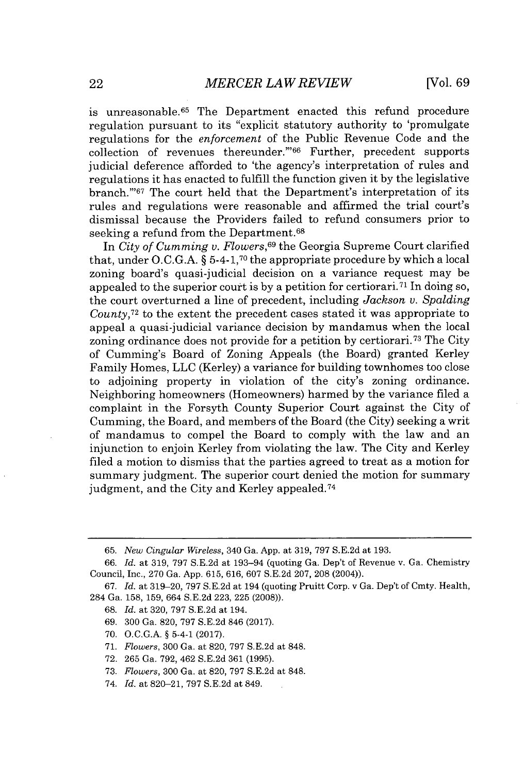is unreasonable.<sup>65</sup> The Department enacted this refund procedure regulation pursuant to its "explicit statutory authority to 'promulgate regulations for the *enforcement* of the Public Revenue Code and the collection of revenues thereunder.""<sup>66</sup> Further, precedent supports judicial deference afforded to 'the agency's interpretation of rules and regulations it has enacted to fulfill the function given it **by** the legislative branch."<sup>67</sup> The court held that the Department's interpretation of its rules and regulations were reasonable and affirmed the trial court's dismissal because the Providers failed to refund consumers prior to seeking a refund from the Department.<sup>68</sup>

In *City of Cumming v. Flowers*,<sup>69</sup> the Georgia Supreme Court clarified that, under **O.C.G.A. §** 5-4-1,70 the appropriate procedure **by** which a local zoning board's quasi-judicial decision on a variance request may be appealed to the superior court is **by** a petition for certiorari. 71 In doing so, the court overturned a line of precedent, including *Jackson v. Spalding County*<sup>72</sup> to the extent the precedent cases stated it was appropriate to appeal a quasi-judicial variance decision **by** mandamus when the local zoning ordinance does not provide for a petition **by** certiorari. 73 The City of Cumming's Board of Zoning Appeals (the Board) granted Kerley Family Homes, **LLC** (Kerley) a variance for building townhomes too close to adjoining property in violation of the city's zoning ordinance. Neighboring homeowners (Homeowners) harmed **by** the variance filed a complaint in the Forsyth County Superior Court against the City of Cumming, the Board, and members of the Board (the City) seeking a writ of mandamus to compel the Board to comply with the law and an injunction to enjoin Kerley from violating the law. The City and Kerley filed a motion to dismiss that the parties agreed to treat as a motion for summary judgment. The superior court denied the motion for summary judgment, and the City and Kerley appealed.<sup>74</sup>

- *69.* **300** Ga. **820, 797 S.E.2d** 846 **(2017).**
- **70. O.C.G.A. §** 5-4-1 **(2017).**
- **71.** *Flowers,* **300** Ga. at **820, 797 S.E.2d** at **848.**
- **72. 265** Ga. **792,** 462 **S.E.2d 361 (1995).**
- **73.** *Flowers,* **300** Ga. at **820, 797 S.E.2d** at **848.**
- 74. *Id.* at **820-21, 797 S.E.2d** at 849.

**<sup>65.</sup>** *New Cingular Wireless,* 340 Ga. **App.** at **319, 797 S.E.2d** at **193.**

*<sup>66.</sup> Id.* at **319, 797 S.E.2d** at 193-94 (quoting Ga. Dep't of Revenue v. Ga. Chemistry Council, Inc., **270** Ga. **App. 615, 616, 607 S.E.2d 207, 208** (2004)).

*<sup>67.</sup> Id.* at **319-20, 797 S.E.2d** at 194 (quoting Pruitt Corp. v Ga. Dep't of Cmty. Health, 284 Ga. **158, 159,** 664 **S.E.2d 223, 225 (2008)).**

**<sup>68.</sup>** *Id.* at **320, 797 S.E.2d** at 194.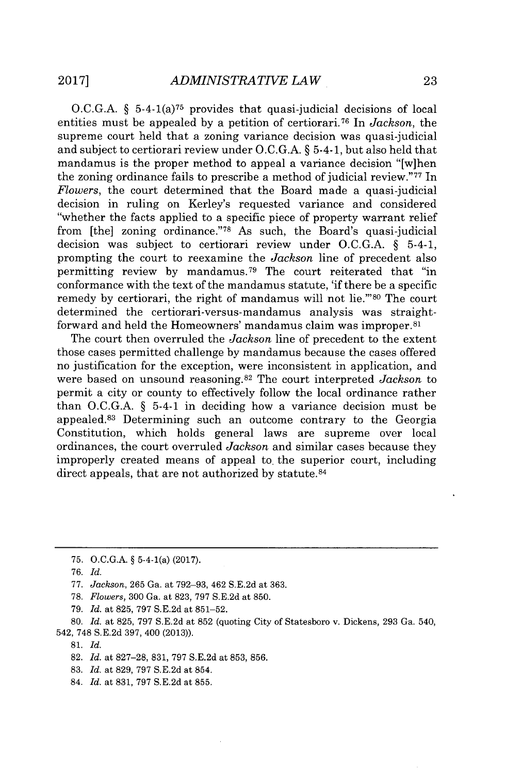O.C.G.A.  $\S$  5-4-1(a)<sup>75</sup> provides that quasi-judicial decisions of local entities must be appealed by a petition of certiorari.<sup>76</sup> In *Jackson*, the supreme court held that a zoning variance decision was quasi-judicial and subject to certiorari review under **O.C.G.A. §** 5-4-1, but also held that mandamus is the proper method to appeal a variance decision "[w]hen the zoning ordinance fails to prescribe a method of judicial review."<sup>77</sup> In *Flowers,* the court determined that the Board made a quasi-judicial decision in ruling on Kerley's requested variance and considered "whether the facts applied to a specific piece of property warrant relief from [the] zoning ordinance."78 As such, the Board's quasi-judicial decision was subject to certiorari review under **O.C.G.A.** *§* 5-4-1, prompting the court to reexamine the *Jackson* line of precedent also permitting review by mandamus.<sup>79</sup> The court reiterated that "in conformance with the text of the mandamus statute, **'if** there be a specific remedy by certiorari, the right of mandamus will not lie."<sup>80</sup> The court determined the certiorari-versus-mandamus analysis was straightforward and held the Homeowners' mandamus claim was improper.<sup>81</sup>

The court then overruled the *Jackson* line of precedent to the extent those cases permitted challenge **by** mandamus because the cases offered no justification for the exception, were inconsistent in application, and were based on unsound reasoning.<sup>82</sup>The court interpreted *Jackson* to permit a city or county to effectively follow the local ordinance rather than **O.C.G.A. §** 5-4-1 in deciding how a variance decision must be appealed.<sup>83</sup> Determining such an outcome contrary to the Georgia Constitution, which holds general laws are supreme over local ordinances, the court overruled *Jackson* and similar cases because they improperly created means of appeal to. the superior court, including direct appeals, that are not authorized **by** statute. <sup>84</sup>

- **78.** *Flowers,* **300** Ga. at **823, 797 S.E.2d** at **850.**
- *79. Id. at* **825, 797 S.E.2d** at **851-52.**

**80.** *Id. at* **825, 797 S.E.2d** at **852** (quoting City of Statesboro v. Dickens, **293** Ga. 540, 542, **748 S.E.2d 397,** 400 **(2013)).**

**81.** *Id.*

- **83.** *Id. at* **829, 797 S.E.2d** at 854.
- 84. *Id. at* **831, 797 S.E.2d** at **855.**

**<sup>75.</sup> O.C.G.A. §** 5-4-1(a) **(2017).**

*<sup>76.</sup> Id.*

**<sup>77.</sup>** *Jackson,* **265** Ga. at **792-93,** 462 **S.E.2d** at **363.**

**<sup>82.</sup>** *Id. at* **827-28, 831, 797 S.E.2d** at **853, 856.**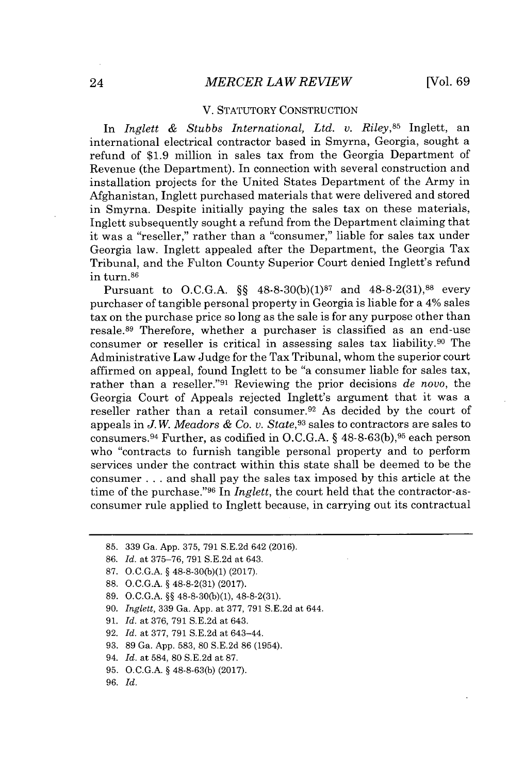#### V. STATUTORY **CONSTRUCTION**

In *Inglett & Stubbs International, Ltd. v. Riley,<sup>85</sup>*Inglett, an international electrical contractor based in Smyrna, Georgia, sought a refund of **\$1.9** million in sales tax from the Georgia Department of Revenue (the Department). In connection with several construction and installation projects for the United States Department of the Army in Afghanistan, Inglett purchased materials that were delivered and stored in Smyrna. Despite initially paying the sales tax on these materials, Inglett subsequently sought a refund from the Department claiming that it was a "reseller," rather than a "consumer," liable for sales tax under Georgia law. Inglett appealed after the Department, the Georgia Tax Tribunal, and the Fulton County Superior Court denied Inglett's refund in turn.<sup>86</sup>

Pursuant to **O.C.G.A.** *§§* **48-8-30(b)(1) <sup>87</sup>**and **48-8-2(31),88** every purchaser of tangible personal property in Georgia is liable for a 4% sales tax on the purchase price so long as the sale is for any purpose other than resale.<sup>89</sup> Therefore, whether a purchaser is classified as an end-use consumer or reseller is critical in assessing sales tax liability. $90$  The Administrative Law Judge for the Tax Tribunal, whom the superior court affirmed on appeal, found Inglett to be "a consumer liable for sales tax, rather than a reseller."<sup>91</sup> Reviewing the prior decisions de novo, the Georgia Court of Appeals rejected Inglett's argument that it was a reseller rather than a retail consumer. <sup>92</sup>As decided **by** the court of appeals in *J. W. Meadors & Co. v. State,<sup>93</sup>*sales to contractors are sales to consumers.<sup>94</sup> Further, as codified in O.C.G.A. § 48-8-63(b), <sup>95</sup> each person who "contracts to furnish tangible personal property and to perform services under the contract within this state shall be deemed to be the consumer **.** . **.** and shall pay the sales tax imposed **by** this article at the time of the purchase."<sup>96</sup> In *Inglett*, the court held that the contractor-asconsumer rule applied to Inglett because, in carrying out its contractual

- **88. O.C.G.A.** *§* **48-8-2(31) (2017).**
- **89. O.C.G.A.** *§§* **48-8-30(b)(1), 48-8-2(31).**

**90.** *Inglett,* **339** Ga. **App.** at **377, 791 S.E.2d** at 644.

- **91.** *Id.* at **376, 791 S.E.2d** at 643.
- **92.** *Id.* at **377, 791 S.E.2d** at 643-44.
- **93. 89** Ga. **App. 583, 80 S.E.2d 86** (1954).
- 94. *Id.* at 584, **80 S.E.2d** at **87.**
- **95. O.C.G.A.** *§* **48-8-63(b) (2017).**
- **96.** *Id.*

**<sup>85. 339</sup>** Ga. **App. 375, 791 S.E.2d** 642 **(2016).**

**<sup>86.</sup>** *Id.* at **375-76, 791 S.E.2d** at 643.

**<sup>87.</sup> O.C.G.A.** *§* **48-8-30(b)(1) (2017).**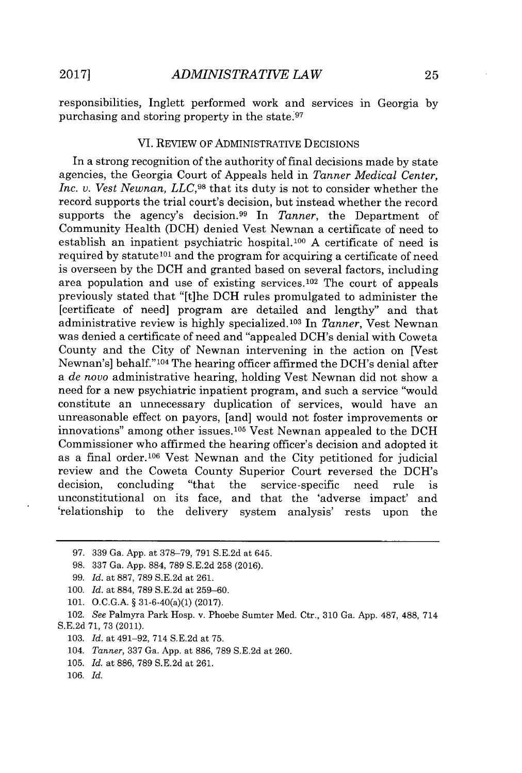responsibilities, Inglett performed work and services in Georgia **by** purchasing and storing property in the state.<sup>97</sup>

#### VI. REVIEW OF ADMINISTRATIVE DECISIONS

In a strong recognition of the authority of final decisions made **by** state agencies, the Georgia Court of Appeals held in *Tanner Medical Center, Inc. v. Vest Newnan, LLC,98* that its duty is not to consider whether the record supports the trial court's decision, but instead whether the record supports the agency's decision.<sup>99</sup> In *Tanner*, the Department of Community Health **(DCH)** denied Vest Newnan a certificate of need to establish an inpatient psychiatric hospital. <sup>100</sup>**A** certificate of need is required by statute<sup>101</sup> and the program for acquiring a certificate of need is overseen **by** the **DCH** and granted based on several factors, including area population and use of existing services.<sup>102</sup> The court of appeals previously stated that "[t]he **DCH** rules promulgated to administer the [certificate of need] program are detailed and lengthy" and that administrative review is **highly** specialized.103 In *Tanner,* Vest Newnan was denied a certificate of need and "appealed DCH's denial with Coweta County and the City of Newnan intervening in the action on [Vest Newnan's] behalf."<sup>104</sup> The hearing officer affirmed the DCH's denial after a *de* novo administrative hearing, holding Vest Newnan did not show a need for a new psychiatric inpatient program, and such a service "would constitute an unnecessary duplication of services, would have an unreasonable effect on payors, [and] would not foster improvements or innovations" among other issues.<sup>105</sup> Vest Newnan appealed to the DCH Commissioner who affirmed the hearing officer's decision and adopted it as a final order.<sup>106</sup> Vest Newnan and the City petitioned for judicial review and the Coweta County Superior Court reversed the DCH's decision. concluding "that the service-specific need rule is decision, concluding "that the service-specific need rule is unconstitutional on its face, and that the 'adverse impact' and 'relationship to the delivery system analysis' rests upon the

**101. O.C.G.A. §** 31-6-40(a)(1) **(2017).**

102. *See* Palmyra Park Hosp. v. Phoebe Sumter Med. Ctr., **310** Ga. **App. 487, 488,** 714 **S.E.2d 71, 73 (2011).**

- **103.** *Id.* at 491-92, 714 **S.E.2d** at **75.**
- 104. *Tanner,* 337 Ga. App. at 886, 789 S.E.2d at 260.
- **105.** *Id.* at **886, 789 S.E.2d** at **261.**

**106.** *Id.*

**<sup>97. 339</sup>** Ga. **App.** at **378-79, 791 S.E.2d** at 645.

**<sup>98. 337</sup>** Ga. **App. 884, 789 S.E.2d 258 (2016).**

**<sup>99.</sup>** *Id.* at **887, 789 S.E.2d** at **261.**

**<sup>100.</sup>** *Id.* at **884, 789 S.E.2d** at **259-60.**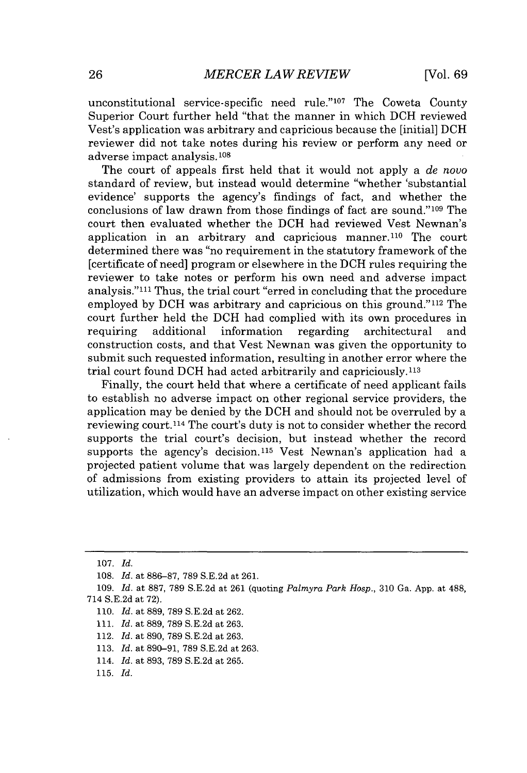unconstitutional service-specific need rule." $107$  The Coweta County Superior Court further held "that the manner in which **DCH** reviewed Vest's application was arbitrary and capricious because the [initial] **DCH** reviewer did not take notes during his review or perform any need or adverse impact analysis.<sup>108</sup>

The court of appeals first held that it would not apply a *de novo* standard of review, but instead would determine "whether 'substantial evidence' supports the agency's findings **of** fact, and whether the conclusions of law drawn from those findings of fact are sound."<sup>109</sup> The court then evaluated whether the **DCH** had reviewed Vest Newnan's application in an arbitrary and capricious manner.<sup>110</sup> The court determined there was "no requirement in the statutory framework of the [certificate of need] program or elsewhere in the **DCH** rules requiring the reviewer to take notes or perform his own need and adverse impact analysis."111 Thus, the trial court "erred in concluding that the procedure employed by DCH was arbitrary and capricious on this ground."<sup>112</sup> The court further held the **DCH** had complied with its own procedures in requiring additional information regarding architectural and construction costs, and that Vest Newnan was given the opportunity to submit such requested information, resulting in another error where the trial court found **DCH** had acted arbitrarily and capriciously. <sup>11</sup><sup>3</sup>

Finally, the court held that where a certificate of need applicant fails to establish no adverse impact on other regional service providers, the application may be denied **by** the **DCH** and should not be overruled **by** a reviewing court.<sup>114</sup>The court's duty is not to consider whether the record supports the trial court's decision, but instead whether the record supports the agency's decision.<sup>115</sup> Vest Newnan's application had a projected patient volume that was largely dependent on the redirection of admissions from existing providers to attain its projected level of utilization, which would have an adverse impact on other existing service

**<sup>107.</sup>** *Id.*

**<sup>108.</sup>** *Id. at* **886-87, 789 S.E.2d** *at* **261.**

**<sup>109.</sup>** *Id. at* **887, 789 S.E.2d** at **261** (quoting *Palmyra Park Hosp.,* **310** Ga. **App.** at 488, 714 **S.E.2d** at **72).**

**<sup>110.</sup>** *Id.* at **889, 789 S.E.2d** at **262.**

**<sup>111.</sup>** *Id. at* **889, 789 S.E.2d** at **263.**

<sup>112.</sup> *Id.* at **890, 789 S.E.2d** at **263.**

**<sup>113.</sup>** *Id.* at **890-91, 789 S.E.2d** at **263.**

<sup>114.</sup> *Id. at* **893, 789 S.E.2d** at **265.**

**<sup>115.</sup>** *Id.*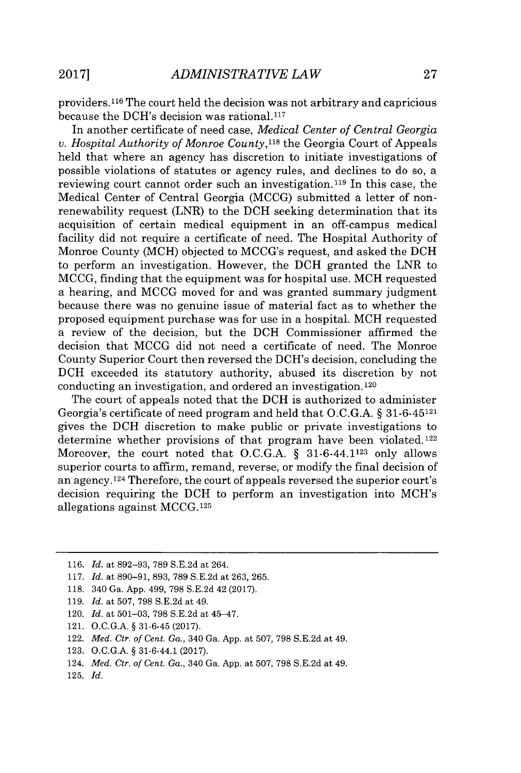providers.11 6 The court held the decision was not arbitrary and capricious because the DCH's decision was rational.<sup>117</sup>

In another certificate of need case, *Medical Center of Central Georgia v. Hospital Authority of Monroe* County,118 the Georgia Court of Appeals held that where an agency has discretion to initiate investigations of possible violations of statutes or agency rules, and declines to do so, a reviewing court cannot order such an investigation.<sup>119</sup> In this case, the Medical Center of Central Georgia **(MCCG)** submitted a letter of nonrenewability request (LNR) to the **DCH** seeking determination that its acquisition of certain medical equipment in an off-campus medical facility did not require a certificate of need. The Hospital Authority of Monroe County (MCH) objected to MCCG's request, and asked the **DCH** to perform an investigation. However, the **DCH** granted the LNR to **MCCG,** finding that the equipment was for hospital use. MCH requested a hearing, and **MCCG** moved for and was granted summary judgment because there was no genuine issue of material fact as to whether the proposed equipment purchase was for use in a hospital. MCH requested a review of the decision, but the **DCH** Commissioner affirmed the decision that **MCCG** did not need a certificate of need. The Monroe County Superior Court then reversed the DCH's decision, concluding the **DCH** exceeded its statutory authority, abused its discretion **by** not conducting an investigation, and ordered an investigation. **<sup>120</sup>**

The court of appeals noted that the **DCH** is authorized to administer Georgia's certificate of need program and held that **O.C.G.A. § 31-6-45121** gives the **DCH** discretion to make public or private investigations to determine whether provisions of that program have been violated.<sup>122</sup> Moreover, the court noted that **O.C.G.A. §** 31-6-44.1123 only allows superior courts to affirm, remand, reverse, or modify the final decision of an agency. <sup>124</sup>Therefore, the court of appeals reversed the superior court's decision requiring the **DCH** to perform an investigation into MCH's allegations against **MCCG.125**

- **123. O.C.G.A. §** 31-6-44.1 **(2017).**
- 124. *Med. Ctr. of Cent. Ga.,* 340 Ga. **App.** at **507, 798 S.E.2d** at 49.

**<sup>116.</sup>** *Id. at* **892-93, 789 S.E.2d** at 264.

**<sup>117.</sup>** *Id.* at **890-91, 893, 789 S.E.2d** at **263, 265.**

**<sup>118.</sup>** 340 Ga. **App.** 499, **798 S.E.2d** 42 **(2017).**

**<sup>119.</sup>** *Id. at* **507, 798 S.E.2d** at 49.

<sup>120.</sup> *Id. at* **501-03, 798 S.E.2d** at 45-47.

<sup>121.</sup> **O.C.G.A. § 31-6-45 (2017).**

<sup>122.</sup> *Med. Ctr. of Cent. Ga.,* 340 Ga. **App.** at **507, 798 S.E.2d** at 49.

**<sup>125.</sup>** *Id.*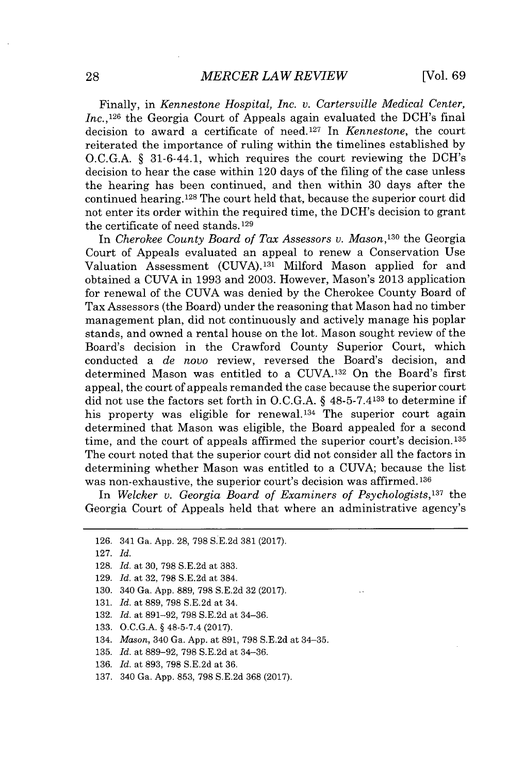Finally, in *Kennestone Hospital, Inc. v. Cartersville Medical Center, Inc.*, <sup>126</sup> the Georgia Court of Appeals again evaluated the DCH's final decision to award a certificate of need. <sup>127</sup>In *Kennestone,* the court reiterated the importance of ruling within the timelines established **by O.C.G.A. §** 31-6-44.1, which requires the court reviewing the DCH's decision to hear the case within 120 days of the filing of the case unless the hearing has been continued, and then within **30** days after the continued hearing.<sup>128</sup> The court held that, because the superior court did not enter its order within the required time, the DCH's decision to grant the certificate of need stands.129

In *Cherokee County Board of Tax Assessors v. Mason,<sup>130</sup>*the Georgia Court of Appeals evaluated an appeal to renew a Conservation Use Valuation Assessment (CUVA).<sup>131</sup> Milford Mason applied for and obtained a **CUVA** in **1993** and **2003.** However, Mason's **2013** application for renewal of the **CUVA** was denied **by** the Cherokee County Board of Tax Assessors (the Board) under the reasoning that Mason had no timber management plan, did not continuously and actively manage his poplar stands, and owned a rental house on the lot. Mason sought review of the Board's decision in the Crawford County Superior Court, which conducted a *de novo* review, reversed the Board's decision, and determined Mason was entitled to a **CUVA.13 <sup>2</sup>**On the Board's first appeal, the court of appeals remanded the case because the superior court did not use the factors set forth in **O.C.G.A. §** 48-5-7.4133 to determine if his property was eligible for renewal.<sup>134</sup> The superior court again determined that Mason was eligible, the Board appealed for a second time, and the court of appeals affirmed the superior court's decision. <sup>135</sup> The court noted that the superior court did not consider all the factors in determining whether Mason was entitled to a **CUVA;** because the list was non-exhaustive, the superior court's decision was affirmed. **<sup>136</sup>**

In *Welcker v. Georgia Board of Examiners of Psychologists,<sup>137</sup>*the Georgia Court of Appeals held that where an administrative agency's

- **130.** 340 Ga. **App. 889, 798 S.E.2d 32 (2017).**
- **131.** *Id. at* **889, 798 S.E.2d** at 34.
- **132.** *Id. at* **891-92, 798 S.E.2d** at 34-36.
- **133. O.C.G.A. §** 48-5-7.4 **(2017).**
- 134. *Mason,* 340 Ga. **App.** at **891, 798 S.E.2d** at 34-35.
- **135.** *Id.* at **889-92, 798 S.E.2d** at 34-36.
- **136.** *Id.* at **893, 798 S.E.2d** at **36.**
- **137.** 340 Ga. **App. 853, 798 S.E.2d 368 (2017).**

**<sup>126.</sup>** 341 Ga. **App. 28, 798 S.E.2d 381 (2017).**

**<sup>127.</sup>** *Id.*

**<sup>128.</sup>** *Id. at* **30, 798 S.E.2d** at **383.**

**<sup>129.</sup>** *Id. at* **32, 798 S.E.2d** at 384.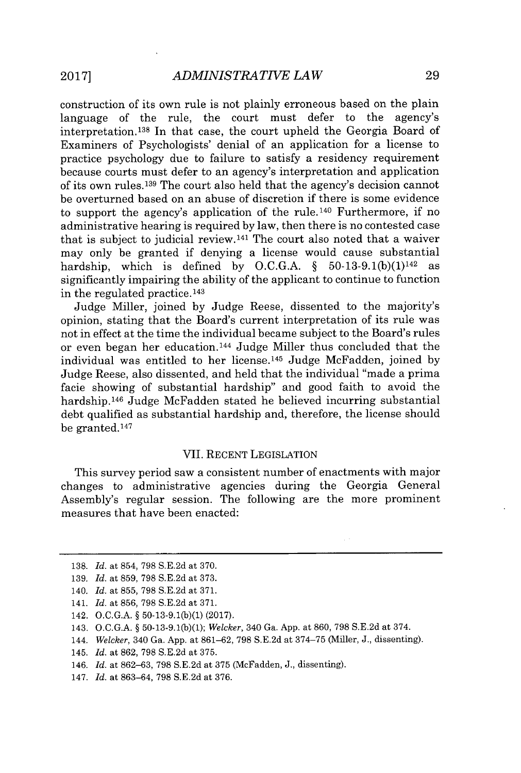construction of its own rule is not plainly erroneous based on the plain language of the rule, the court must defer to the agency's interpretation.<sup>138</sup> In that case, the court upheld the Georgia Board of Examiners of Psychologists' denial of an application for a license to practice psychology due to failure to satisfy a residency requirement because courts must defer to an agency's interpretation and application of its own rules.1<sup>39</sup>The court also held that the agency's decision cannot be overturned based on an abuse of discretion if there is some evidence to support the agency's application of the rule.<sup>140</sup> Furthermore, if no administrative hearing is required **by** law, then there is no contested case that is subject to judicial review.141 The court also noted that a waiver may only be granted if denying a license would cause substantial hardship, which is defined by O.C.G.A.  $\oint$  50-13-9.1(b)(1)<sup>142</sup> as significantly impairing the ability of the applicant to continue to function in the regulated practice.<sup>143</sup>

Judge Miller, joined **by** Judge Reese, dissented to the majority's opinion, stating that the Board's current interpretation of its rule was not in effect at the time the individual became subject to the Board's rules or even began her education.<sup>144</sup> Judge Miller thus concluded that the individual was entitled to her license.<sup>145</sup> Judge McFadden, joined by Judge Reese, also dissented, and held that the individual "made a prima facie showing of substantial hardship" and good faith to avoid the hardship.<sup>146</sup> Judge McFadden stated he believed incurring substantial debt qualified as substantial hardship and, therefore, the license should be granted. <sup>147</sup>

#### VII. **RECENT** LEGISLATION

This survey period saw a consistent number of enactments with major changes to administrative agencies during the Georgia General Assembly's regular session. The following are the more prominent measures that have been enacted:

- 144. *Welcker,* 340 Ga. **App.** at **861-62, 798 S.E.2d** at **374-75** (Miller, **J.,** dissenting).
- 145. *Id.* at **862, 798 S.E.2d** at **375.**
- 146. *Id.* at **862-63, 798 S.E.2d** at **375** (McFadden, **J.,** dissenting).
- 147. *Id.* at **863-64, 798 S.E.2d** at **376.**

**<sup>138.</sup>** *Id.* at 854, **798 S.E.2d** at **370.**

**<sup>139.</sup>** *Id.* at **859, 798 S.E.2d** at **373.**

<sup>140.</sup> *Id.* at **855, 798 S.E.2d** at **371.**

<sup>141.</sup> *Id.* at **856, 798 S.E.2d** at **371.**

<sup>142.</sup> **O.C.G.A.** *§* **50-13-9.1(b)(1) (2017).**

<sup>143.</sup> **O.C.G.A.** *§* **50-13-9.1(b)(1);** *Welcker,* 340 Ga. **App.** at **860, 798 S.E.2d** at 374.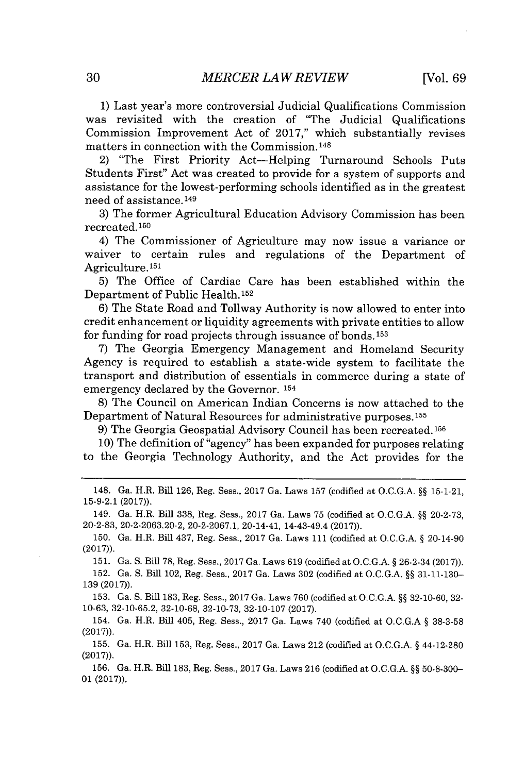**1)** Last year's more controversial Judicial Qualifications Commission was revisited with the creation of "The Judicial Qualifications Commission Improvement Act of **2017,"** which substantially revises matters in connection with the Commission.148

2) "The First Priority Act-Helping Turnaround Schools Puts Students First" Act was created to provide for a system of supports and assistance for the lowest-performing schools identified as in the greatest need of assistance.<sup>149</sup>

**3)** The former Agricultural Education Advisory Commission has been recreated.150

4) The Commissioner of Agriculture may now issue a variance or waiver to certain rules and regulations of the Department of Agriculture.<sup>151</sup>

**5)** The Office of Cardiac Care has been established within the Department of Public Health.152

**6)** The State Road and Tollway Authority is now allowed to enter into credit enhancement or liquidity agreements with private entities to allow for funding for road projects through issuance of bonds.<sup>153</sup>

**7)** The Georgia Emergency Management and Homeland Security Agency is required to establish a state-wide system to facilitate the transport and distribution of essentials in commerce during a state of emergency declared **by** the Governor. **<sup>154</sup>**

**8)** The Council on American Indian Concerns is now attached to the Department of Natural Resources for administrative purposes. <sup>155</sup>

**9)** The Georgia Geospatial Advisory Council has been recreated. **<sup>156</sup>**

**10)** The definition of "agency" has been expanded for purposes relating to the Georgia Technology Authority, and the Act provides for the

148. Ga. H.R. Bill **126,** Reg. Sess., **2017** Ga. Laws **157** (codified at **O.C.G.A. §§ 15-1-21, 15-9-2.1 (2017)).**

149. Ga. H.R. Bill **338,** Reg. Sess., **2017** Ga. Laws **75** (codified at **O.C.G.A. §§ 20-2-73, 20-2-83, 20-2-2063.20-2, 20-2-2067.1,** 20-14-41, 14-43-49.4 **(2017)).**

**150.** Ga. H.R. Bill 437, Reg. Sess., **2017** Ga. Laws 111 (codified at **O.C.G.A. §** 20-14-90 **(2017)).**

**151.** Ga. **S.** Bill **78,** Reg. Sess., **2017** Ga. Laws **619** (codified at **O.C.G.A. §** 26-2-34 **(2017)).**

**152.** Ga. **S.** Bill 102, Reg. Sess., **2017** Ga. Laws **302** (codified at **O.C.G.A. §§ 31-11-130- 139 (2017)).**

**153.** Ga. **S.** Bill **183,** Reg. Sess., **2017** Ga. Laws **760** (codified at **O.C.G.A. §§ 32-10-60, 32- 10-63, 32-10-65.2, 32-10-68, 32-10-73, 32-10-107 (2017).**

154. Ga. H.R. Bill 405, Reg. Sess., **2017** Ga. Laws 740 (codified at **O.C.G.A § 38-3-58 (2017)).**

**155.** Ga. H.R. Bill **153,** Reg. Sess., **2017** Ga. Laws 212 (codified at **O.C.G.A. §** 44-12-280 **(2017)).**

**156.** Ga. H.R. Bill **183,** Reg. Sess., **2017** Ga. Laws **216** (codified at **O.C.G.A. §§ 50-8-300- 01 (2017)).**